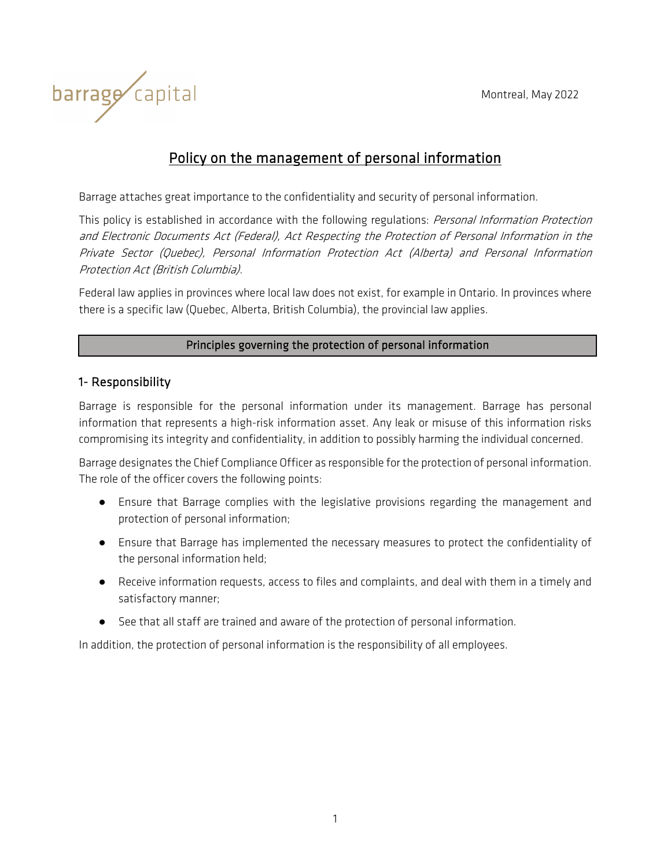

# Policy on the management of personal information

Barrage attaches great importance to the confidentiality and security of personal information.

This policy is established in accordance with the following regulations: Personal Information Protection and Electronic Documents Act (Federal), Act Respecting the Protection of Personal Information in the Private Sector (Quebec), Personal Information Protection Act (Alberta) and Personal Information Protection Act (British Columbia).

Federal law applies in provinces where local law does not exist, for example in Ontario. In provinces where there is a specific law (Quebec, Alberta, British Columbia), the provincial law applies.

#### Principles governing the protection of personal information

#### 1- Responsibility

Barrage is responsible for the personal information under its management. Barrage has personal information that represents a high-risk information asset. Any leak or misuse of this information risks compromising its integrity and confidentiality, in addition to possibly harming the individual concerned.

Barrage designates the Chief Compliance Officer as responsible for the protection of personal information. The role of the officer covers the following points:

- Ensure that Barrage complies with the legislative provisions regarding the management and protection of personal information;
- Ensure that Barrage has implemented the necessary measures to protect the confidentiality of the personal information held;
- Receive information requests, access to files and complaints, and deal with them in a timely and satisfactory manner;
- See that all staff are trained and aware of the protection of personal information.

In addition, the protection of personal information is the responsibility of all employees.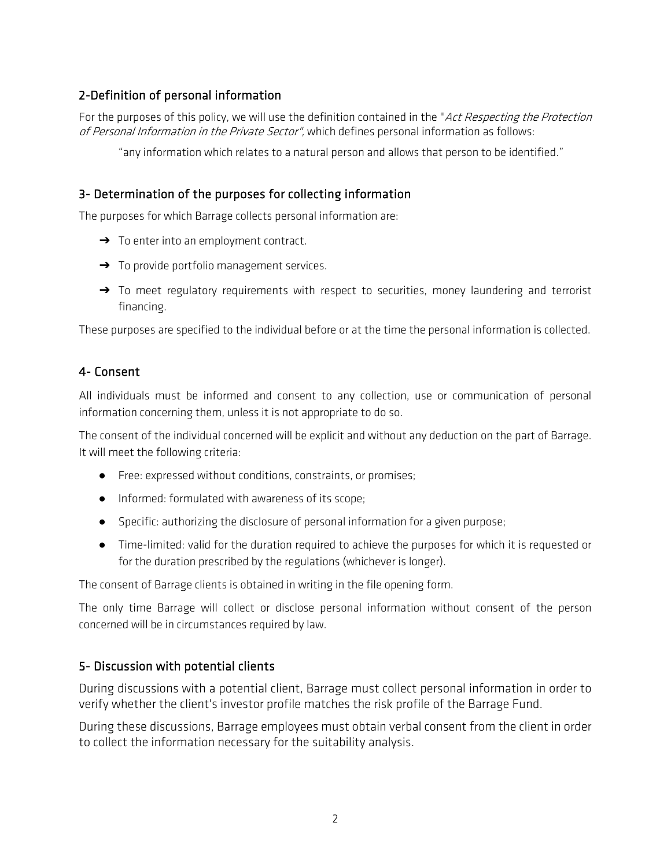### 2-Definition of personal information

For the purposes of this policy, we will use the definition contained in the "Act Respecting the Protection of Personal Information in the Private Sector", which defines personal information as follows:

"any information which relates to a natural person and allows that person to be identified."

#### 3- Determination of the purposes for collecting information

The purposes for which Barrage collects personal information are:

- → To enter into an employment contract.
- → To provide portfolio management services.
- → To meet regulatory requirements with respect to securities, money laundering and terrorist financing.

These purposes are specified to the individual before or at the time the personal information is collected.

#### 4- Consent

All individuals must be informed and consent to any collection, use or communication of personal information concerning them, unless it is not appropriate to do so.

The consent of the individual concerned will be explicit and without any deduction on the part of Barrage. It will meet the following criteria:

- Free: expressed without conditions, constraints, or promises;
- Informed: formulated with awareness of its scope;
- Specific: authorizing the disclosure of personal information for a given purpose;
- Time-limited: valid for the duration required to achieve the purposes for which it is requested or for the duration prescribed by the regulations (whichever is longer).

The consent of Barrage clients is obtained in writing in the file opening form.

The only time Barrage will collect or disclose personal information without consent of the person concerned will be in circumstances required by law.

#### 5- Discussion with potential clients

During discussions with a potential client, Barrage must collect personal information in order to verify whether the client's investor profile matches the risk profile of the Barrage Fund.

During these discussions, Barrage employees must obtain verbal consent from the client in order to collect the information necessary for the suitability analysis.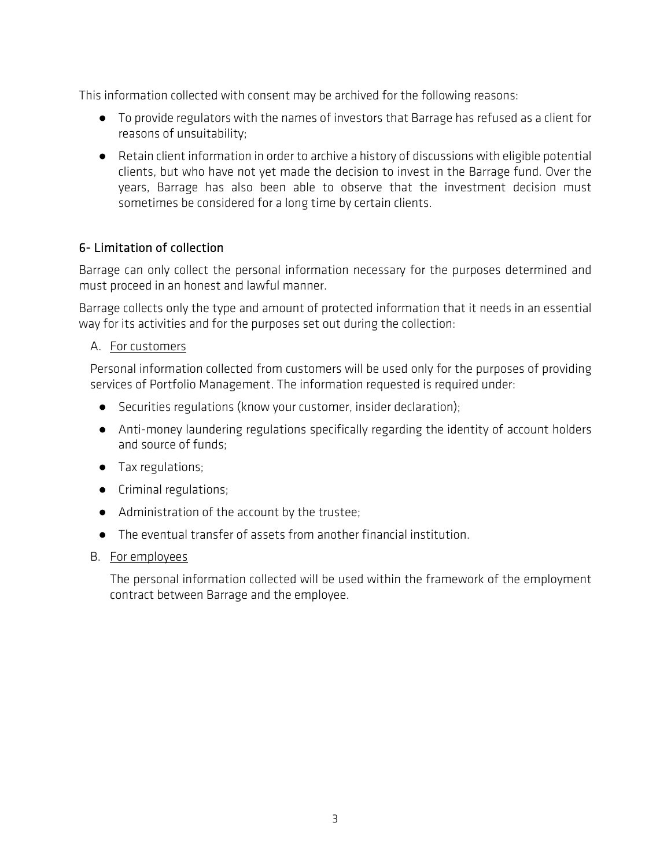This information collected with consent may be archived for the following reasons:

- To provide regulators with the names of investors that Barrage has refused as a client for reasons of unsuitability;
- Retain client information in order to archive a history of discussions with eligible potential clients, but who have not yet made the decision to invest in the Barrage fund. Over the years, Barrage has also been able to observe that the investment decision must sometimes be considered for a long time by certain clients.

### 6- Limitation of collection

Barrage can only collect the personal information necessary for the purposes determined and must proceed in an honest and lawful manner.

Barrage collects only the type and amount of protected information that it needs in an essential way for its activities and for the purposes set out during the collection:

#### A. For customers

Personal information collected from customers will be used only for the purposes of providing services of Portfolio Management. The information requested is required under:

- Securities regulations (know your customer, insider declaration);
- Anti-money laundering regulations specifically regarding the identity of account holders and source of funds;
- Tax regulations;
- Criminal regulations;
- Administration of the account by the trustee;
- The eventual transfer of assets from another financial institution.

#### B. For employees

The personal information collected will be used within the framework of the employment contract between Barrage and the employee.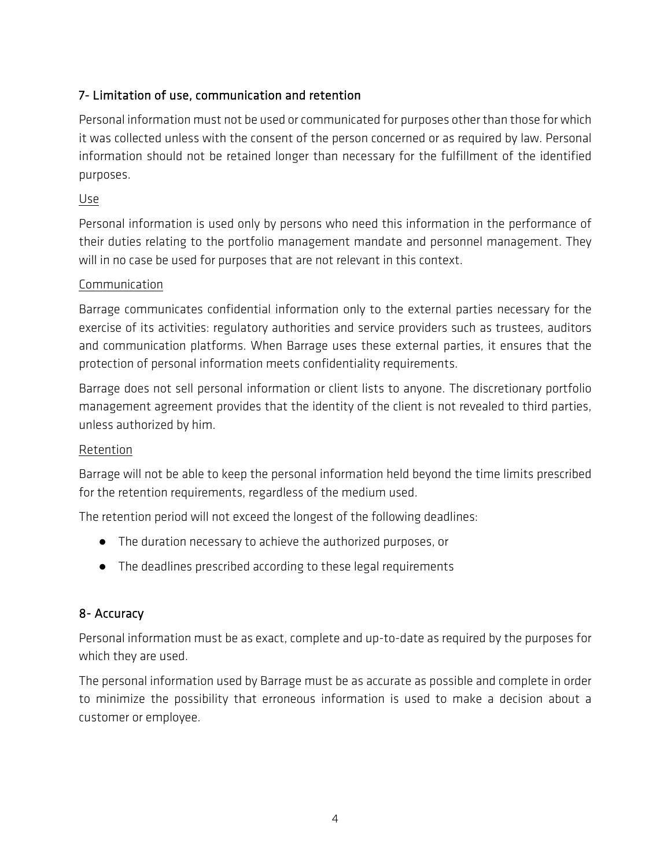# 7- Limitation of use, communication and retention

Personal information must not be used or communicated for purposes other than those for which it was collected unless with the consent of the person concerned or as required by law. Personal information should not be retained longer than necessary for the fulfillment of the identified purposes.

### Use

Personal information is used only by persons who need this information in the performance of their duties relating to the portfolio management mandate and personnel management. They will in no case be used for purposes that are not relevant in this context.

### Communication

Barrage communicates confidential information only to the external parties necessary for the exercise of its activities: regulatory authorities and service providers such as trustees, auditors and communication platforms. When Barrage uses these external parties, it ensures that the protection of personal information meets confidentiality requirements.

Barrage does not sell personal information or client lists to anyone. The discretionary portfolio management agreement provides that the identity of the client is not revealed to third parties, unless authorized by him.

#### Retention

Barrage will not be able to keep the personal information held beyond the time limits prescribed for the retention requirements, regardless of the medium used.

The retention period will not exceed the longest of the following deadlines:

- The duration necessary to achieve the authorized purposes, or
- The deadlines prescribed according to these legal requirements

### 8- Accuracy

Personal information must be as exact, complete and up-to-date as required by the purposes for which they are used.

The personal information used by Barrage must be as accurate as possible and complete in order to minimize the possibility that erroneous information is used to make a decision about a customer or employee.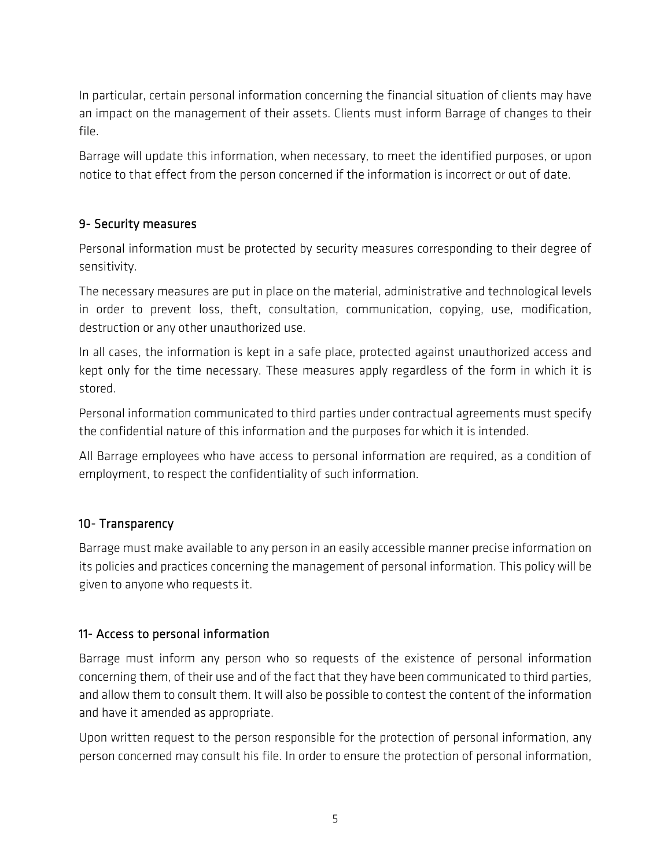In particular, certain personal information concerning the financial situation of clients may have an impact on the management of their assets. Clients must inform Barrage of changes to their file.

Barrage will update this information, when necessary, to meet the identified purposes, or upon notice to that effect from the person concerned if the information is incorrect or out of date.

# 9- Security measures

Personal information must be protected by security measures corresponding to their degree of sensitivity.

The necessary measures are put in place on the material, administrative and technological levels in order to prevent loss, theft, consultation, communication, copying, use, modification, destruction or any other unauthorized use.

In all cases, the information is kept in a safe place, protected against unauthorized access and kept only for the time necessary. These measures apply regardless of the form in which it is stored.

Personal information communicated to third parties under contractual agreements must specify the confidential nature of this information and the purposes for which it is intended.

All Barrage employees who have access to personal information are required, as a condition of employment, to respect the confidentiality of such information.

### 10- Transparency

Barrage must make available to any person in an easily accessible manner precise information on its policies and practices concerning the management of personal information. This policy will be given to anyone who requests it.

### 11- Access to personal information

Barrage must inform any person who so requests of the existence of personal information concerning them, of their use and of the fact that they have been communicated to third parties, and allow them to consult them. It will also be possible to contest the content of the information and have it amended as appropriate.

Upon written request to the person responsible for the protection of personal information, any person concerned may consult his file. In order to ensure the protection of personal information,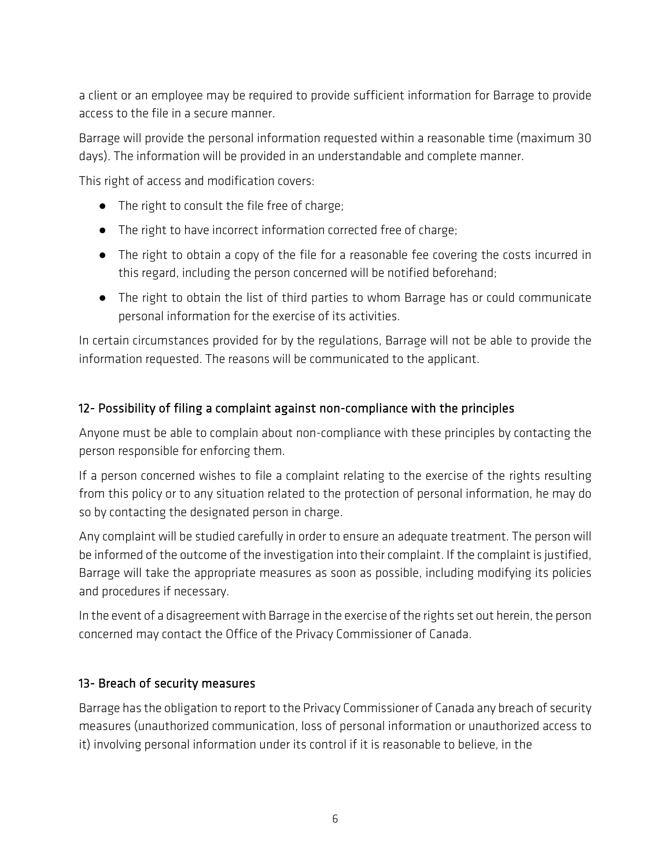a client or an employee may be required to provide sufficient information for Barrage to provide access to the file in a secure manner.

Barrage will provide the personal information requested within a reasonable time (maximum 30 days). The information will be provided in an understandable and complete manner.

This right of access and modification covers:

- The right to consult the file free of charge;
- The right to have incorrect information corrected free of charge;
- The right to obtain a copy of the file for a reasonable fee covering the costs incurred in this regard, including the person concerned will be notified beforehand;
- The right to obtain the list of third parties to whom Barrage has or could communicate personal information for the exercise of its activities.

In certain circumstances provided for by the regulations, Barrage will not be able to provide the information requested. The reasons will be communicated to the applicant.

### 12- Possibility of filing a complaint against non-compliance with the principles

Anyone must be able to complain about non-compliance with these principles by contacting the person responsible for enforcing them.

If a person concerned wishes to file a complaint relating to the exercise of the rights resulting from this policy or to any situation related to the protection of personal information, he may do so by contacting the designated person in charge.

Any complaint will be studied carefully in order to ensure an adequate treatment. The person will be informed of the outcome of the investigation into their complaint. If the complaint is justified, Barrage will take the appropriate measures as soon as possible, including modifying its policies and procedures if necessary.

In the event of a disagreement with Barrage in the exercise of the rights set out herein, the person concerned may contact the Office of the Privacy Commissioner of Canada.

### 13- Breach of security measures

Barrage has the obligation to report to the Privacy Commissioner of Canada any breach of security measures (unauthorized communication, loss of personal information or unauthorized access to it) involving personal information under its control if it is reasonable to believe, in the